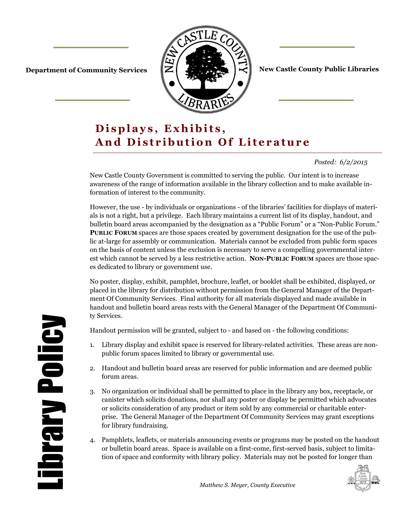

**Department of Community Services**  $\|\mathbf{Z}\|$  **of**  $\|\mathbf{Z}\|$  $\|\mathbf{Z}\|$  **New Castle County Public Libraries** 

# Displays, Exhibits, And Distribution Of Literature

*Posted: 6/2/2015* 

New Castle County Government is committed to serving the public. Our intent is to increase awareness of the range of information available in the library collection and to make available information of interest to the community.

However, the use - by individuals or organizations - of the libraries' facilities for displays of materials is not a right, but a privilege. Each library maintains a current list of its display, handout, and bulletin board areas accompanied by the designation as a "Public Forum" or a "Non-Public Forum." **PUBLIC FORUM** spaces are those spaces created by government designation for the use of the public at-large for assembly or communication. Materials cannot be excluded from public form spaces on the basis of content unless the exclusion is necessary to serve a compelling governmental interest which cannot be served by a less restrictive action. **NON-PUBLIC FORUM** spaces are those spaces dedicated to library or government use.

No poster, display, exhibit, pamphlet, brochure, leaflet, or booklet shall be exhibited, displayed, or placed in the library for distribution without permission from the General Manager of the Department Of Community Services. Final authority for all materials displayed and made available in handout and bulletin board areas rests with the General Manager of the Department Of Community Services.

Handout permission will be granted, subject to - and based on - the following conditions:

- 1. Library display and exhibit space is reserved for library-related activities. These areas are nonpublic forum spaces limited to library or governmental use.
- 2. Handout and bulletin board areas are reserved for public information and are deemed public forum areas.
- 3. No organization or individual shall be permitted to place in the library any box, receptacle, or canister which solicits donations, nor shall any poster or display be permitted which advocates or solicits consideration of any product or item sold by any commercial or charitable enterprise. The General Manager of the Department Of Community Services may grant exceptions for library fundraising.
- 4. Pamphlets, leaflets, or materials announcing events or programs may be posted on the handout or bulletin board areas. Space is available on a first-come, first-served basis, subject to limitation of space and conformity with library policy. Materials may not be posted for longer than



Library Policy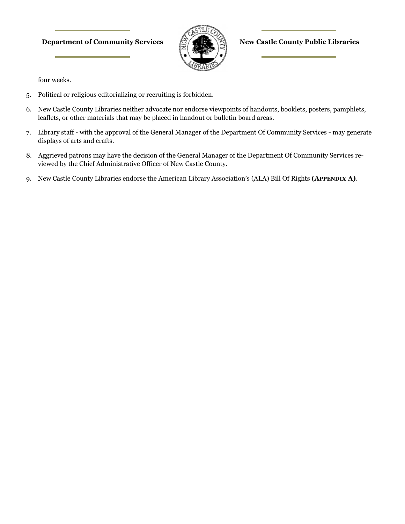#### **Department of Community Services**  $\sqrt{\frac{1}{20}}$  **(New Castle County Public Libraries**



four weeks.

- 5. Political or religious editorializing or recruiting is forbidden.
- 6. New Castle County Libraries neither advocate nor endorse viewpoints of handouts, booklets, posters, pamphlets, leaflets, or other materials that may be placed in handout or bulletin board areas.
- 7. Library staff with the approval of the General Manager of the Department Of Community Services may generate displays of arts and crafts.
- 8. Aggrieved patrons may have the decision of the General Manager of the Department Of Community Services reviewed by the Chief Administrative Officer of New Castle County.
- 9. New Castle County Libraries endorse the American Library Association's (ALA) Bill Of Rights **(APPENDIX A)**.